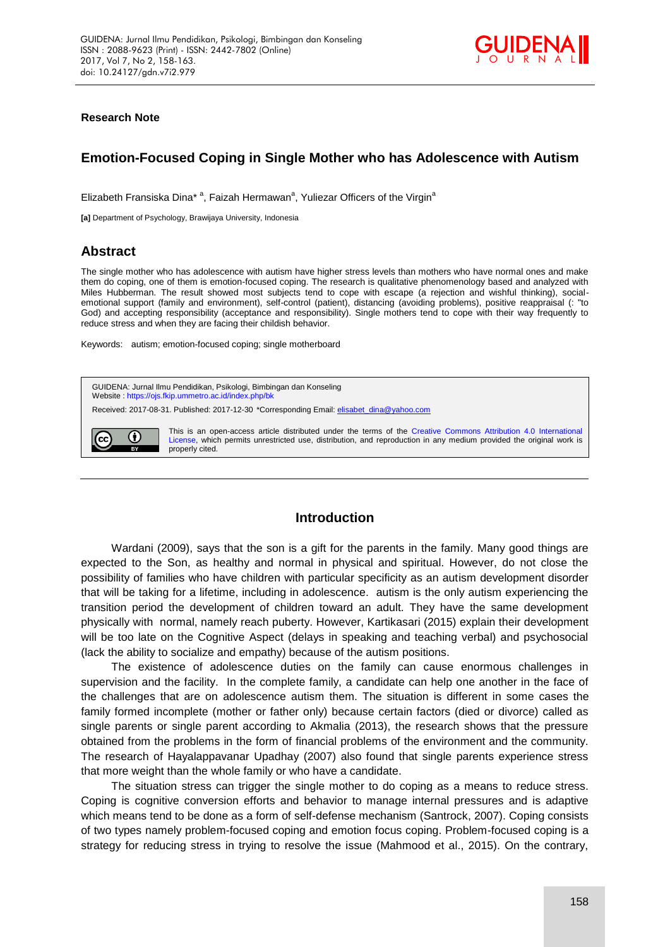

### **Research Note**

# **Emotion-Focused Coping in Single Mother who has Adolescence with Autism**

Elizabeth Fransiska Dina<sup>\* a</sup>, Faizah Hermawan<sup>a</sup>, Yuliezar Officers of the Virgin<sup>a</sup>

**[a]** Department of Psychology, Brawijaya University, Indonesia

# **Abstract**

The single mother who has adolescence with autism have higher stress levels than mothers who have normal ones and make them do coping, one of them is emotion-focused coping. The research is qualitative phenomenology based and analyzed with Miles Hubberman. The result showed most subjects tend to cope with escape (a rejection and wishful thinking), socialemotional support (family and environment), self-control (patient), distancing (avoiding problems), positive reappraisal (: "to God) and accepting responsibility (acceptance and responsibility). Single mothers tend to cope with their way frequently to reduce stress and when they are facing their childish behavior.

Keywords: autism; emotion-focused coping; single motherboard



## **Introduction**

Wardani (2009), says that the son is a gift for the parents in the family. Many good things are expected to the Son, as healthy and normal in physical and spiritual. However, do not close the possibility of families who have children with particular specificity as an autism development disorder that will be taking for a lifetime, including in adolescence. autism is the only autism experiencing the transition period the development of children toward an adult. They have the same development physically with normal, namely reach puberty. However, Kartikasari (2015) explain their development will be too late on the Cognitive Aspect (delays in speaking and teaching verbal) and psychosocial (lack the ability to socialize and empathy) because of the autism positions.

The existence of adolescence duties on the family can cause enormous challenges in supervision and the facility. In the complete family, a candidate can help one another in the face of the challenges that are on adolescence autism them. The situation is different in some cases the family formed incomplete (mother or father only) because certain factors (died or divorce) called as single parents or single parent according to Akmalia (2013), the research shows that the pressure obtained from the problems in the form of financial problems of the environment and the community. The research of Hayalappavanar Upadhay (2007) also found that single parents experience stress that more weight than the whole family or who have a candidate.

The situation stress can trigger the single mother to do coping as a means to reduce stress. Coping is cognitive conversion efforts and behavior to manage internal pressures and is adaptive which means tend to be done as a form of self-defense mechanism (Santrock, 2007). Coping consists of two types namely problem-focused coping and emotion focus coping. Problem-focused coping is a strategy for reducing stress in trying to resolve the issue (Mahmood et al., 2015). On the contrary,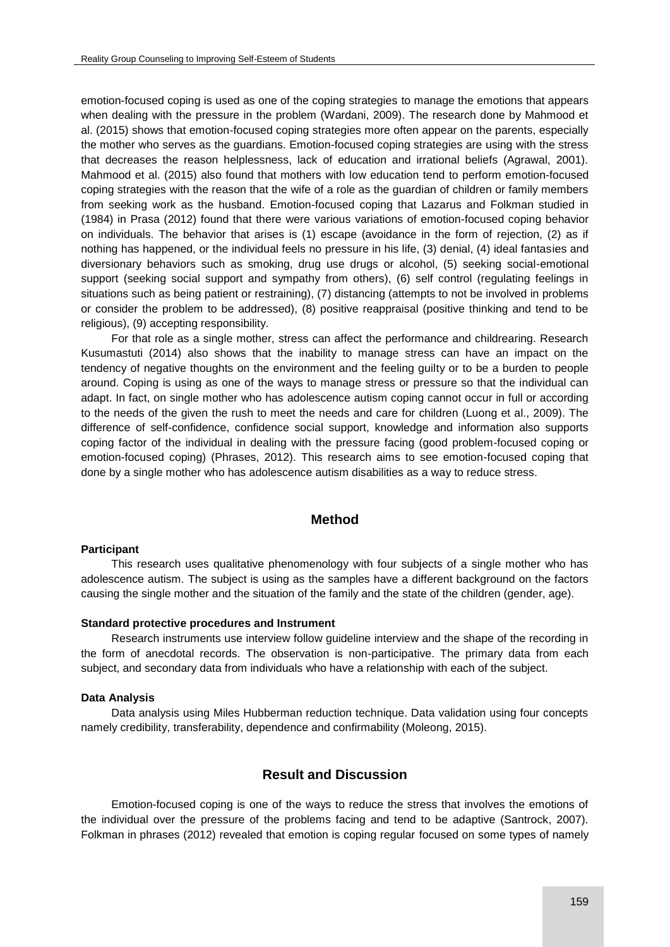emotion-focused coping is used as one of the coping strategies to manage the emotions that appears when dealing with the pressure in the problem (Wardani, 2009). The research done by Mahmood et al. (2015) shows that emotion-focused coping strategies more often appear on the parents, especially the mother who serves as the guardians. Emotion-focused coping strategies are using with the stress that decreases the reason helplessness, lack of education and irrational beliefs (Agrawal, 2001). Mahmood et al. (2015) also found that mothers with low education tend to perform emotion-focused coping strategies with the reason that the wife of a role as the guardian of children or family members from seeking work as the husband. Emotion-focused coping that Lazarus and Folkman studied in (1984) in Prasa (2012) found that there were various variations of emotion-focused coping behavior on individuals. The behavior that arises is (1) escape (avoidance in the form of rejection, (2) as if nothing has happened, or the individual feels no pressure in his life, (3) denial, (4) ideal fantasies and diversionary behaviors such as smoking, drug use drugs or alcohol, (5) seeking social-emotional support (seeking social support and sympathy from others), (6) self control (regulating feelings in situations such as being patient or restraining), (7) distancing (attempts to not be involved in problems or consider the problem to be addressed), (8) positive reappraisal (positive thinking and tend to be religious), (9) accepting responsibility.

For that role as a single mother, stress can affect the performance and childrearing. Research Kusumastuti (2014) also shows that the inability to manage stress can have an impact on the tendency of negative thoughts on the environment and the feeling guilty or to be a burden to people around. Coping is using as one of the ways to manage stress or pressure so that the individual can adapt. In fact, on single mother who has adolescence autism coping cannot occur in full or according to the needs of the given the rush to meet the needs and care for children (Luong et al., 2009). The difference of self-confidence, confidence social support, knowledge and information also supports coping factor of the individual in dealing with the pressure facing (good problem-focused coping or emotion-focused coping) (Phrases, 2012). This research aims to see emotion-focused coping that done by a single mother who has adolescence autism disabilities as a way to reduce stress.

# **Method**

#### **Participant**

This research uses qualitative phenomenology with four subjects of a single mother who has adolescence autism. The subject is using as the samples have a different background on the factors causing the single mother and the situation of the family and the state of the children (gender, age).

### **Standard protective procedures and Instrument**

Research instruments use interview follow guideline interview and the shape of the recording in the form of anecdotal records. The observation is non-participative. The primary data from each subject, and secondary data from individuals who have a relationship with each of the subject.

#### **Data Analysis**

Data analysis using Miles Hubberman reduction technique. Data validation using four concepts namely credibility, transferability, dependence and confirmability (Moleong, 2015).

# **Result and Discussion**

Emotion-focused coping is one of the ways to reduce the stress that involves the emotions of the individual over the pressure of the problems facing and tend to be adaptive (Santrock, 2007). Folkman in phrases (2012) revealed that emotion is coping regular focused on some types of namely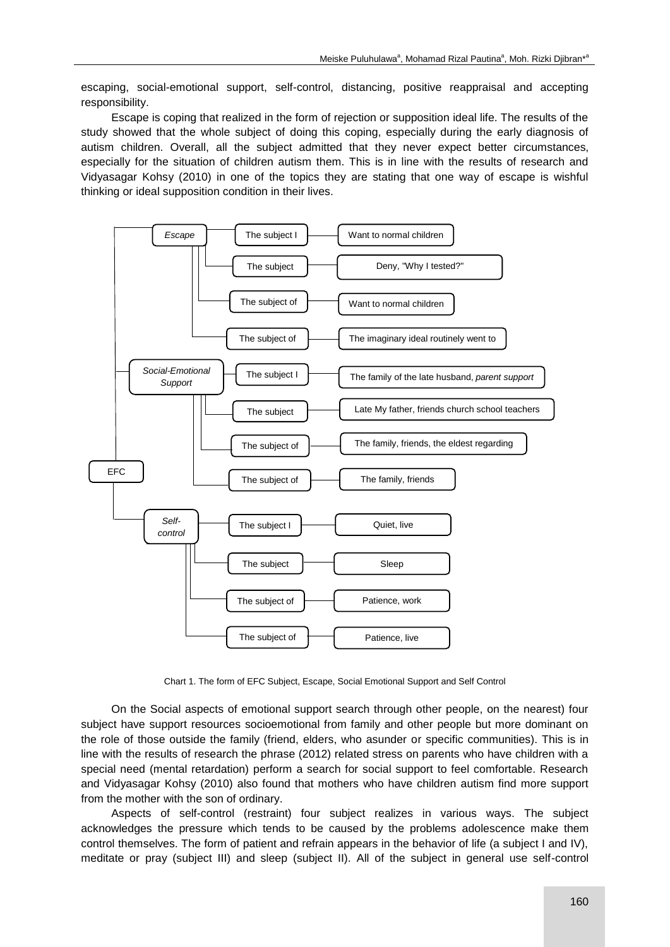escaping, social-emotional support, self-control, distancing, positive reappraisal and accepting responsibility.

Escape is coping that realized in the form of rejection or supposition ideal life. The results of the study showed that the whole subject of doing this coping, especially during the early diagnosis of autism children. Overall, all the subject admitted that they never expect better circumstances, especially for the situation of children autism them. This is in line with the results of research and Vidyasagar Kohsy (2010) in one of the topics they are stating that one way of escape is wishful thinking or ideal supposition condition in their lives.



Chart 1. The form of EFC Subject, Escape, Social Emotional Support and Self Control

On the Social aspects of emotional support search through other people, on the nearest) four subject have support resources socioemotional from family and other people but more dominant on the role of those outside the family (friend, elders, who asunder or specific communities). This is in line with the results of research the phrase (2012) related stress on parents who have children with a special need (mental retardation) perform a search for social support to feel comfortable. Research and Vidyasagar Kohsy (2010) also found that mothers who have children autism find more support from the mother with the son of ordinary.

Aspects of self-control (restraint) four subject realizes in various ways. The subject acknowledges the pressure which tends to be caused by the problems adolescence make them control themselves. The form of patient and refrain appears in the behavior of life (a subject I and IV), meditate or pray (subject III) and sleep (subject II). All of the subject in general use self-control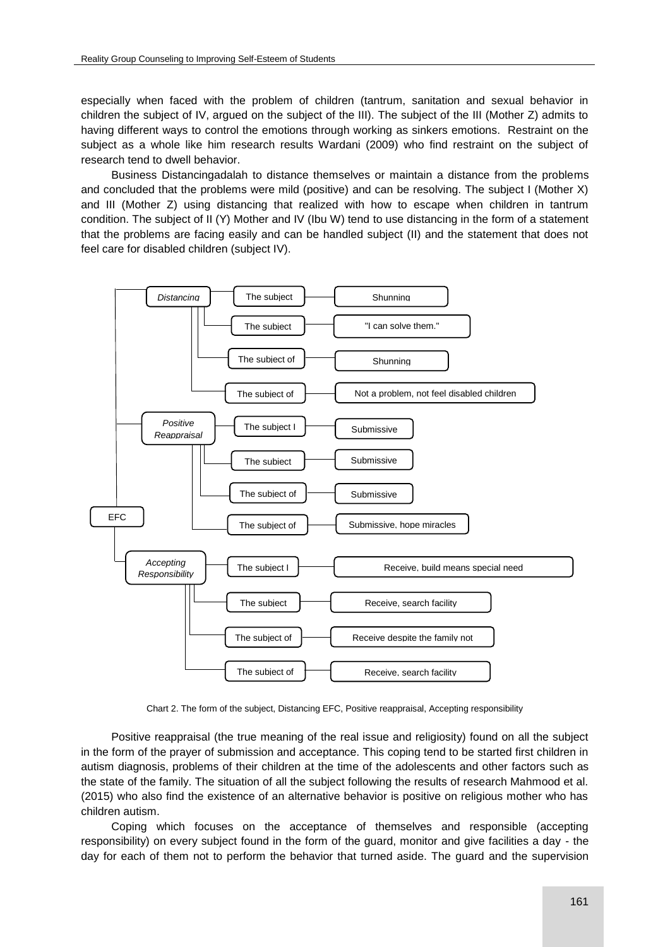especially when faced with the problem of children (tantrum, sanitation and sexual behavior in children the subject of IV, argued on the subject of the III). The subject of the III (Mother Z) admits to having different ways to control the emotions through working as sinkers emotions. Restraint on the subject as a whole like him research results Wardani (2009) who find restraint on the subject of research tend to dwell behavior.

Business Distancingadalah to distance themselves or maintain a distance from the problems and concluded that the problems were mild (positive) and can be resolving. The subject I (Mother X) and III (Mother Z) using distancing that realized with how to escape when children in tantrum condition. The subject of II (Y) Mother and IV (Ibu W) tend to use distancing in the form of a statement that the problems are facing easily and can be handled subject (II) and the statement that does not feel care for disabled children (subject IV).



Chart 2. The form of the subject, Distancing EFC, Positive reappraisal, Accepting responsibility

Positive reappraisal (the true meaning of the real issue and religiosity) found on all the subject in the form of the prayer of submission and acceptance. This coping tend to be started first children in autism diagnosis, problems of their children at the time of the adolescents and other factors such as the state of the family. The situation of all the subject following the results of research Mahmood et al. (2015) who also find the existence of an alternative behavior is positive on religious mother who has children autism.

Coping which focuses on the acceptance of themselves and responsible (accepting responsibility) on every subject found in the form of the guard, monitor and give facilities a day - the day for each of them not to perform the behavior that turned aside. The guard and the supervision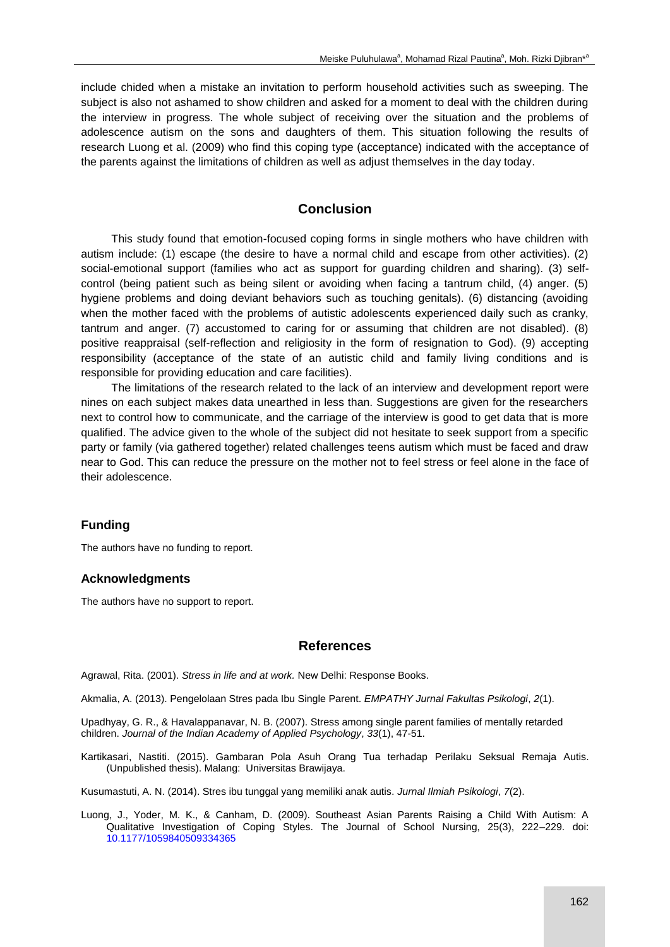include chided when a mistake an invitation to perform household activities such as sweeping. The subject is also not ashamed to show children and asked for a moment to deal with the children during the interview in progress. The whole subject of receiving over the situation and the problems of adolescence autism on the sons and daughters of them. This situation following the results of research Luong et al. (2009) who find this coping type (acceptance) indicated with the acceptance of the parents against the limitations of children as well as adjust themselves in the day today.

# **Conclusion**

This study found that emotion-focused coping forms in single mothers who have children with autism include: (1) escape (the desire to have a normal child and escape from other activities). (2) social-emotional support (families who act as support for guarding children and sharing). (3) selfcontrol (being patient such as being silent or avoiding when facing a tantrum child, (4) anger. (5) hygiene problems and doing deviant behaviors such as touching genitals). (6) distancing (avoiding when the mother faced with the problems of autistic adolescents experienced daily such as cranky, tantrum and anger. (7) accustomed to caring for or assuming that children are not disabled). (8) positive reappraisal (self-reflection and religiosity in the form of resignation to God). (9) accepting responsibility (acceptance of the state of an autistic child and family living conditions and is responsible for providing education and care facilities).

The limitations of the research related to the lack of an interview and development report were nines on each subject makes data unearthed in less than. Suggestions are given for the researchers next to control how to communicate, and the carriage of the interview is good to get data that is more qualified. The advice given to the whole of the subject did not hesitate to seek support from a specific party or family (via gathered together) related challenges teens autism which must be faced and draw near to God. This can reduce the pressure on the mother not to feel stress or feel alone in the face of their adolescence.

### **Funding**

The authors have no funding to report.

#### **Acknowledgments**

The authors have no support to report.

### **References**

Agrawal, Rita. (2001). *Stress in life and at work.* New Delhi: Response Books.

Akmalia, A. (2013). Pengelolaan Stres pada Ibu Single Parent. *EMPATHY Jurnal Fakultas Psikologi*, *2*(1).

Upadhyay, G. R., & Havalappanavar, N. B. (2007). Stress among single parent families of mentally retarded children. *Journal of the Indian Academy of Applied Psychology*, *33*(1), 47-51.

Kartikasari, Nastiti. (2015). Gambaran Pola Asuh Orang Tua terhadap Perilaku Seksual Remaja Autis. (Unpublished thesis). Malang: Universitas Brawijaya.

Kusumastuti, A. N. (2014). Stres ibu tunggal yang memiliki anak autis. *Jurnal Ilmiah Psikologi*, *7*(2).

Luong, J., Yoder, M. K., & Canham, D. (2009). Southeast Asian Parents Raising a Child With Autism: A Qualitative Investigation of Coping Styles. The Journal of School Nursing, 25(3), 222–229. doi: [10.1177/1059840509334365](https://doi.org/10.1177/1059840509334365)